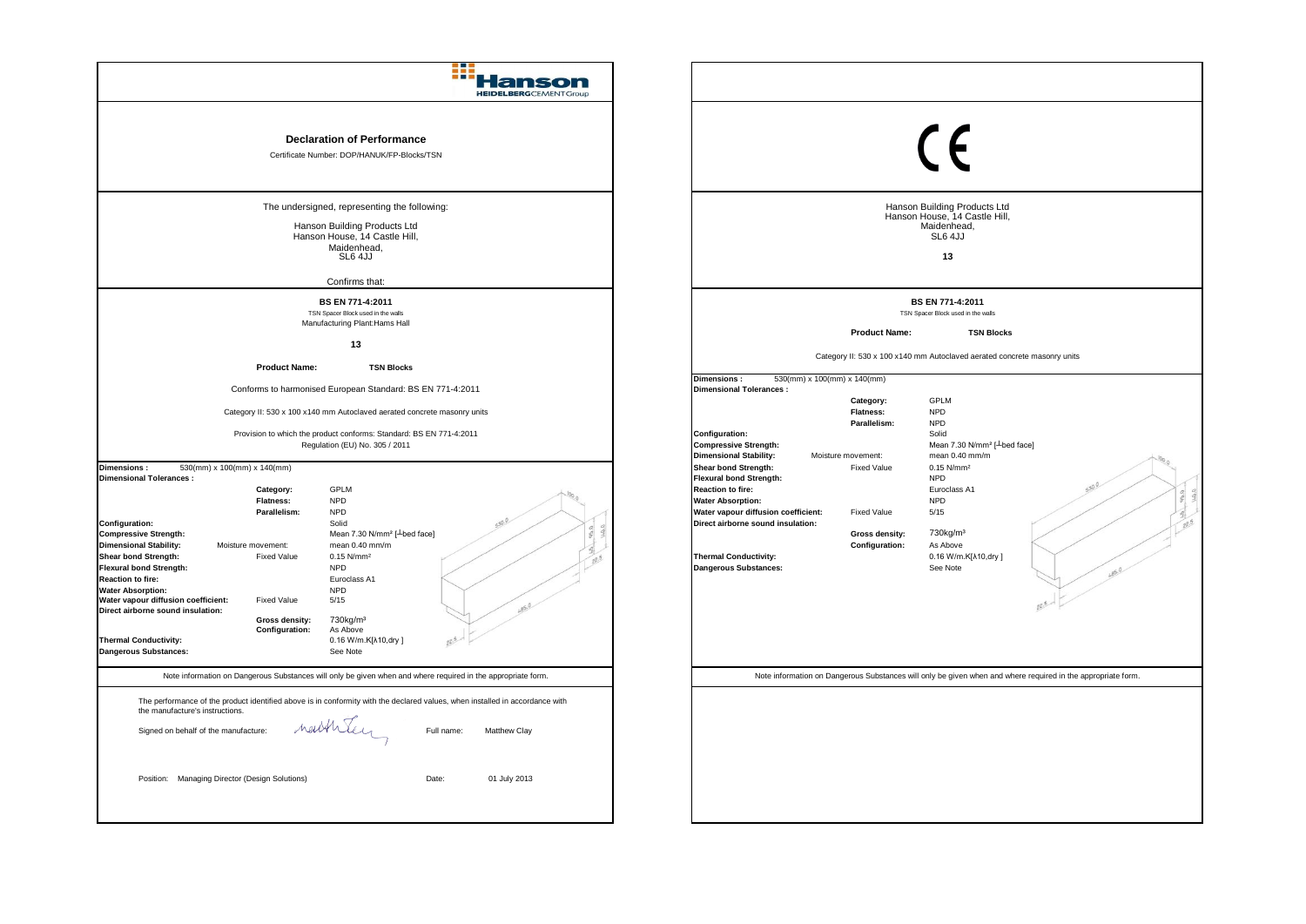| a E<br><b>HEIDELBERG</b> CEMENTGroup                                                                                                                                                                                                                                                                                                                                                                                                                                                                                                                                                                                                                                                                                                                                                                                                                                                                                                                                                                                                                                                                                                                                                  |                                                                                                                                                                                                                                                                                                                                                                                                                                                                                                                                                                                                                                                                                                                                                                                                                                                                                                                                                             |
|---------------------------------------------------------------------------------------------------------------------------------------------------------------------------------------------------------------------------------------------------------------------------------------------------------------------------------------------------------------------------------------------------------------------------------------------------------------------------------------------------------------------------------------------------------------------------------------------------------------------------------------------------------------------------------------------------------------------------------------------------------------------------------------------------------------------------------------------------------------------------------------------------------------------------------------------------------------------------------------------------------------------------------------------------------------------------------------------------------------------------------------------------------------------------------------|-------------------------------------------------------------------------------------------------------------------------------------------------------------------------------------------------------------------------------------------------------------------------------------------------------------------------------------------------------------------------------------------------------------------------------------------------------------------------------------------------------------------------------------------------------------------------------------------------------------------------------------------------------------------------------------------------------------------------------------------------------------------------------------------------------------------------------------------------------------------------------------------------------------------------------------------------------------|
| <b>Declaration of Performance</b><br>Certificate Number: DOP/HANUK/FP-Blocks/TSN                                                                                                                                                                                                                                                                                                                                                                                                                                                                                                                                                                                                                                                                                                                                                                                                                                                                                                                                                                                                                                                                                                      | $\epsilon$                                                                                                                                                                                                                                                                                                                                                                                                                                                                                                                                                                                                                                                                                                                                                                                                                                                                                                                                                  |
| The undersigned, representing the following:<br>Hanson Building Products Ltd<br>Hanson House, 14 Castle Hill,<br>Maidenhead,<br>SL6 4JJ<br>Confirms that:                                                                                                                                                                                                                                                                                                                                                                                                                                                                                                                                                                                                                                                                                                                                                                                                                                                                                                                                                                                                                             | Hanson Building Products Ltd<br>Hanson House, 14 Castle Hill,<br>Maidenhead.<br>SL6 4JJ<br>13                                                                                                                                                                                                                                                                                                                                                                                                                                                                                                                                                                                                                                                                                                                                                                                                                                                               |
| BS EN 771-4:2011<br>TSN Spacer Block used in the walls<br>Manufacturing Plant: Hams Hall<br>13                                                                                                                                                                                                                                                                                                                                                                                                                                                                                                                                                                                                                                                                                                                                                                                                                                                                                                                                                                                                                                                                                        | BS EN 771-4:2011<br>TSN Spacer Block used in the walls<br><b>Product Name:</b><br><b>TSN Blocks</b>                                                                                                                                                                                                                                                                                                                                                                                                                                                                                                                                                                                                                                                                                                                                                                                                                                                         |
| <b>Product Name:</b><br><b>TSN Blocks</b><br>Conforms to harmonised European Standard: BS EN 771-4:2011<br>Category II: 530 x 100 x140 mm Autoclaved aerated concrete masonry units<br>Provision to which the product conforms: Standard: BS EN 771-4:2011<br>Regulation (EU) No. 305 / 2011<br>530(mm) x 100(mm) x 140(mm)<br>Dimensions:<br><b>Dimensional Tolerances:</b><br><b>GPLM</b><br>Category:<br><b>Flatness:</b><br><b>NPD</b><br><b>NPD</b><br>Parallelism:<br>Solid<br>Configuration:<br>Mean 7.30 N/mm <sup>2</sup> [ <sup>L</sup> bed face]<br><b>Compressive Strength:</b><br><b>Dimensional Stability:</b><br>mean $0.40$ mm/m<br>Moisture movement:<br>Shear bond Strength:<br><b>Fixed Value</b><br>$0.15$ N/mm <sup>2</sup><br>Flexural bond Strength:<br><b>NPD</b><br><b>Reaction to fire:</b><br>Euroclass A1<br><b>Water Absorption:</b><br><b>NPD</b><br>Water vapour diffusion coefficient:<br><b>Fixed Value</b><br>5/15<br>Direct airborne sound insulation:<br>730kg/m <sup>3</sup><br><b>Gross density:</b><br>Configuration:<br>As Above<br><b>Thermal Conductivity:</b><br>0.16 W/m.K[ $\lambda$ 10,dry]<br><b>Dangerous Substances:</b><br>See Note | Category II: 530 x 100 x140 mm Autoclaved aerated concrete masonry units<br>530(mm) x 100(mm) x 140(mm)<br>Dimensions:<br><b>Dimensional Tolerances:</b><br><b>GPLM</b><br>Category:<br><b>Flatness:</b><br><b>NPD</b><br><b>NPD</b><br>Parallelism:<br>Configuration:<br>Solid<br><b>Compressive Strength:</b><br>Mean 7.30 N/mm <sup>2</sup> [ Lbed face]<br><b>Dimensional Stability:</b><br>mean 0.40 mm/m<br>Moisture movement:<br>$0.15$ N/mm <sup>2</sup><br><b>Shear bond Strength:</b><br><b>Fixed Value</b><br><b>Flexural bond Strength:</b><br><b>NPD</b><br><b>Reaction to fire:</b><br>Euroclass A1<br><b>Water Absorption:</b><br><b>NPD</b><br>Water vapour diffusion coefficient:<br><b>Fixed Value</b><br>5/15<br>Direct airborne sound insulation:<br>730kg/m <sup>3</sup><br>Gross density:<br>Configuration:<br>As Above<br><b>Thermal Conductivity:</b><br>0.16 W/m.K[ $\lambda$ 10,dry]<br>Dangerous Substances:<br>See Note<br>85.0 |
| Note information on Dangerous Substances will only be given when and where required in the appropriate form.<br>The performance of the product identified above is in conformity with the declared values, when installed in accordance with<br>the manufacture's instructions.<br>neitheley<br>Full name:<br>Signed on behalf of the manufacture:<br>Matthew Clay<br>Position: Managing Director (Design Solutions)<br>Date:<br>01 July 2013                                                                                                                                                                                                                                                                                                                                                                                                                                                                                                                                                                                                                                                                                                                                         | Note information on Dangerous Substances will only be given when and where required in the appropriate form.                                                                                                                                                                                                                                                                                                                                                                                                                                                                                                                                                                                                                                                                                                                                                                                                                                                |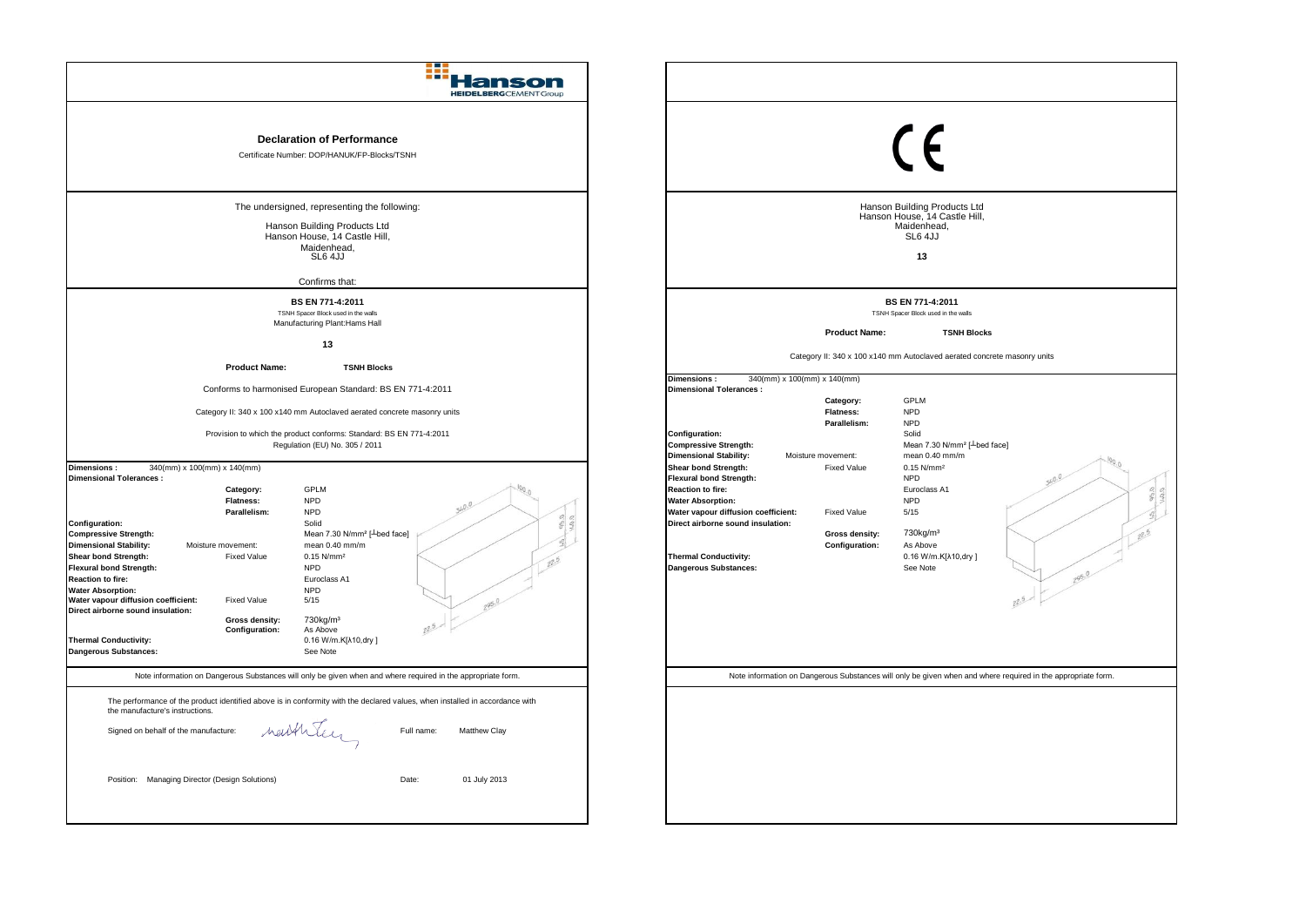| $\epsilon$ is $\epsilon$ is $\epsilon$<br><b>HEIDELBERGCEMENT Group</b>                                                                                                                                                                                                                                                                          |                                                                                                                                                                                                                                                                                                                                                                                                     |
|--------------------------------------------------------------------------------------------------------------------------------------------------------------------------------------------------------------------------------------------------------------------------------------------------------------------------------------------------|-----------------------------------------------------------------------------------------------------------------------------------------------------------------------------------------------------------------------------------------------------------------------------------------------------------------------------------------------------------------------------------------------------|
| <b>Declaration of Performance</b><br>Certificate Number: DOP/HANUK/FP-Blocks/TSNH                                                                                                                                                                                                                                                                | $\epsilon$                                                                                                                                                                                                                                                                                                                                                                                          |
| The undersigned, representing the following:<br>Hanson Building Products Ltd<br>Hanson House, 14 Castle Hill,<br>Maidenhead.<br>SL6 4JJ                                                                                                                                                                                                          | Hanson Building Products Ltd<br>Hanson House, 14 Castle Hill,<br>Maidenhead,<br>SL6 4JJ<br>13                                                                                                                                                                                                                                                                                                       |
| Confirms that:                                                                                                                                                                                                                                                                                                                                   |                                                                                                                                                                                                                                                                                                                                                                                                     |
| BS EN 771-4:2011<br>TSNH Spacer Block used in the walls                                                                                                                                                                                                                                                                                          | BS EN 771-4:2011<br>TSNH Spacer Block used in the walls                                                                                                                                                                                                                                                                                                                                             |
| Manufacturing Plant: Hams Hall                                                                                                                                                                                                                                                                                                                   | <b>Product Name:</b><br><b>TSNH Blocks</b>                                                                                                                                                                                                                                                                                                                                                          |
| 13                                                                                                                                                                                                                                                                                                                                               | Category II: 340 x 100 x140 mm Autoclaved aerated concrete masonry units                                                                                                                                                                                                                                                                                                                            |
| <b>Product Name:</b><br><b>TSNH Blocks</b>                                                                                                                                                                                                                                                                                                       | Dimensions:<br>340(mm) x 100(mm) x 140(mm)                                                                                                                                                                                                                                                                                                                                                          |
| Conforms to harmonised European Standard: BS EN 771-4:2011                                                                                                                                                                                                                                                                                       | <b>Dimensional Tolerances:</b><br><b>GPLM</b><br>Category:                                                                                                                                                                                                                                                                                                                                          |
| Category II: 340 x 100 x140 mm Autoclaved aerated concrete masonry units                                                                                                                                                                                                                                                                         | <b>Flatness:</b><br><b>NPD</b><br><b>NPD</b>                                                                                                                                                                                                                                                                                                                                                        |
| Provision to which the product conforms: Standard: BS EN 771-4:2011                                                                                                                                                                                                                                                                              | Parallelism:<br>Configuration:<br>Solid                                                                                                                                                                                                                                                                                                                                                             |
| Regulation (EU) No. 305 / 2011                                                                                                                                                                                                                                                                                                                   | Mean 7.30 N/mm <sup>2</sup> [ Lbed face]<br><b>Compressive Strength:</b><br><b>Dimensional Stability:</b><br>mean 0.40 mm/m<br>Moisture movement:                                                                                                                                                                                                                                                   |
| 340(mm) x 100(mm) x 140(mm)<br>Dimensions:<br><b>Dimensional Tolerances:</b><br><b>GPLM</b><br>Category:<br><b>NPD</b><br>Flatness:<br>Parallelism:<br><b>NPD</b><br>Configuration:<br>Solid<br>Mean 7.30 N/mm <sup>2</sup> [-bed face]<br><b>Compressive Strength:</b><br><b>Dimensional Stability:</b><br>mean 0.40 mm/m<br>Moisture movement: | <b>Shear bond Strength:</b><br>0.15 N/mm <sup>2</sup><br><b>Fixed Value</b><br><b>Flexural bond Strength:</b><br><b>NPD</b><br><b>Reaction to fire:</b><br>Euroclass A1<br><b>NPD</b><br><b>Water Absorption:</b><br>Water vapour diffusion coefficient:<br><b>Fixed Value</b><br>5/15<br>Direct airborne sound insulation:<br>730kg/m <sup>3</sup><br>Gross density:<br>Configuration:<br>As Above |
| Shear bond Strength:<br><b>Fixed Value</b><br>$0.15$ N/mm <sup>2</sup><br><b>Flexural bond Strength:</b><br><b>NPD</b><br><b>Reaction to fire:</b><br>Euroclass A1<br><b>Water Absorption:</b><br><b>NPD</b><br>Water vapour diffusion coefficient:<br><b>Fixed Value</b><br>5/15<br>295.0                                                       | <b>Thermal Conductivity:</b><br>0.16 W/m.K[ $\lambda$ 10,dry]<br>Dangerous Substances:<br>See Note<br>295.0                                                                                                                                                                                                                                                                                         |
| Direct airborne sound insulation:<br>730kg/m <sup>3</sup><br>Gross density:<br>Configuration:<br>As Above<br><b>Thermal Conductivity:</b><br>0.16 W/m.K[ $\lambda$ 10,dry]<br><b>Dangerous Substances:</b><br>See Note                                                                                                                           |                                                                                                                                                                                                                                                                                                                                                                                                     |
|                                                                                                                                                                                                                                                                                                                                                  |                                                                                                                                                                                                                                                                                                                                                                                                     |
| Note information on Dangerous Substances will only be given when and where required in the appropriate form.<br>The performance of the product identified above is in conformity with the declared values, when installed in accordance with                                                                                                     | Note information on Dangerous Substances will only be given when and where required in the appropriate form.                                                                                                                                                                                                                                                                                        |
| the manufacture's instructions.<br>nathley<br>Signed on behalf of the manufacture:<br>Full name:<br>Matthew Clay                                                                                                                                                                                                                                 |                                                                                                                                                                                                                                                                                                                                                                                                     |
| Position: Managing Director (Design Solutions)<br>Date:<br>01 July 2013                                                                                                                                                                                                                                                                          |                                                                                                                                                                                                                                                                                                                                                                                                     |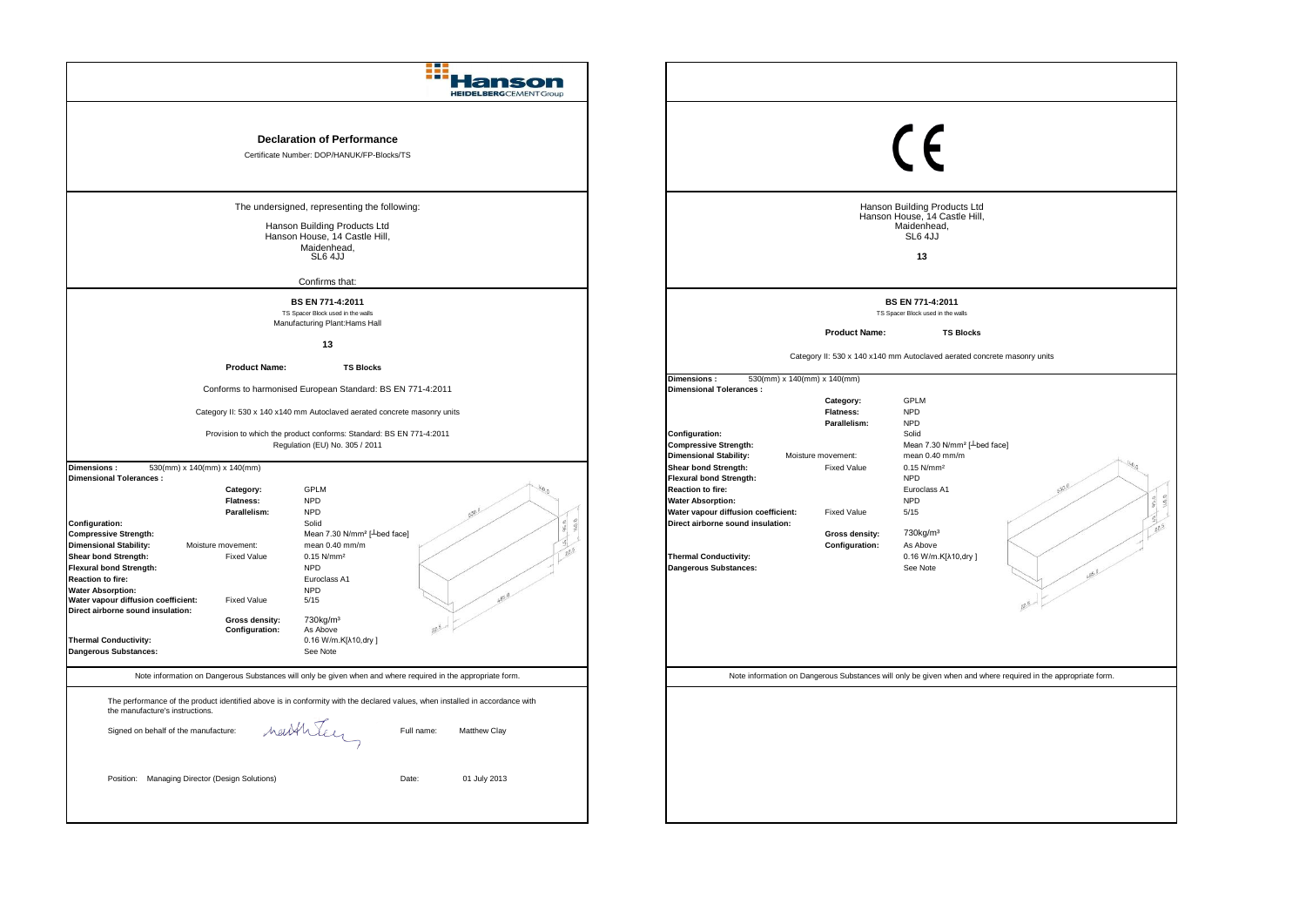| anson<br><b>HEIDELBERG</b> CEMENTGroup                                                                                                                                                                                                                                                                                                                                                                                                                                                                                                                                                                                                                                                                                                                                                                                                          |                                                                                                                                                                                                                                                                                                                                                                                                                                                                                                                                                                          |
|-------------------------------------------------------------------------------------------------------------------------------------------------------------------------------------------------------------------------------------------------------------------------------------------------------------------------------------------------------------------------------------------------------------------------------------------------------------------------------------------------------------------------------------------------------------------------------------------------------------------------------------------------------------------------------------------------------------------------------------------------------------------------------------------------------------------------------------------------|--------------------------------------------------------------------------------------------------------------------------------------------------------------------------------------------------------------------------------------------------------------------------------------------------------------------------------------------------------------------------------------------------------------------------------------------------------------------------------------------------------------------------------------------------------------------------|
| <b>Declaration of Performance</b><br>Certificate Number: DOP/HANUK/FP-Blocks/TS                                                                                                                                                                                                                                                                                                                                                                                                                                                                                                                                                                                                                                                                                                                                                                 | $\epsilon$                                                                                                                                                                                                                                                                                                                                                                                                                                                                                                                                                               |
| The undersigned, representing the following:<br>Hanson Building Products Ltd<br>Hanson House, 14 Castle Hill,<br>Maidenhead,<br>SL6 4JJ                                                                                                                                                                                                                                                                                                                                                                                                                                                                                                                                                                                                                                                                                                         | Hanson Building Products Ltd<br>Hanson House, 14 Castle Hill,<br>Maidenhead,<br>SL6 4JJ<br>13                                                                                                                                                                                                                                                                                                                                                                                                                                                                            |
| Confirms that:                                                                                                                                                                                                                                                                                                                                                                                                                                                                                                                                                                                                                                                                                                                                                                                                                                  |                                                                                                                                                                                                                                                                                                                                                                                                                                                                                                                                                                          |
| BS EN 771-4:2011<br>TS Spacer Block used in the walls                                                                                                                                                                                                                                                                                                                                                                                                                                                                                                                                                                                                                                                                                                                                                                                           | BS EN 771-4:2011<br>TS Spacer Block used in the walls                                                                                                                                                                                                                                                                                                                                                                                                                                                                                                                    |
| Manufacturing Plant: Hams Hall                                                                                                                                                                                                                                                                                                                                                                                                                                                                                                                                                                                                                                                                                                                                                                                                                  | <b>Product Name:</b><br><b>TS Blocks</b>                                                                                                                                                                                                                                                                                                                                                                                                                                                                                                                                 |
| 13                                                                                                                                                                                                                                                                                                                                                                                                                                                                                                                                                                                                                                                                                                                                                                                                                                              | Category II: 530 x 140 x140 mm Autoclaved aerated concrete masonry units                                                                                                                                                                                                                                                                                                                                                                                                                                                                                                 |
| <b>Product Name:</b><br><b>TS Blocks</b>                                                                                                                                                                                                                                                                                                                                                                                                                                                                                                                                                                                                                                                                                                                                                                                                        | Dimensions:<br>530(mm) x 140(mm) x 140(mm)                                                                                                                                                                                                                                                                                                                                                                                                                                                                                                                               |
| Conforms to harmonised European Standard: BS EN 771-4:2011                                                                                                                                                                                                                                                                                                                                                                                                                                                                                                                                                                                                                                                                                                                                                                                      | <b>Dimensional Tolerances:</b><br><b>GPLM</b><br>Category:                                                                                                                                                                                                                                                                                                                                                                                                                                                                                                               |
| Category II: 530 x 140 x140 mm Autoclaved aerated concrete masonry units                                                                                                                                                                                                                                                                                                                                                                                                                                                                                                                                                                                                                                                                                                                                                                        | <b>Flatness:</b><br><b>NPD</b><br><b>NPD</b><br>Parallelism:                                                                                                                                                                                                                                                                                                                                                                                                                                                                                                             |
| Provision to which the product conforms: Standard: BS EN 771-4:2011<br>Regulation (EU) No. 305 / 2011                                                                                                                                                                                                                                                                                                                                                                                                                                                                                                                                                                                                                                                                                                                                           | <b>Configuration:</b><br>Solid<br>Mean 7.30 N/mm <sup>2</sup> [ Lbed face]<br><b>Compressive Strength:</b>                                                                                                                                                                                                                                                                                                                                                                                                                                                               |
| 530(mm) x 140(mm) x 140(mm)<br>Dimensions:<br><b>Dimensional Tolerances:</b><br><b>GPLM</b><br>Category:<br><b>NPD</b><br><b>Flatness:</b><br>Parallelism:<br><b>NPD</b><br>Configuration:<br>Solid<br><b>Compressive Strength:</b><br>Mean 7.30 N/mm <sup>2</sup> [ <sup>1</sup> bed face]<br><b>Dimensional Stability:</b><br>mean 0.40 mm/m<br>Moisture movement:<br>Shear bond Strength:<br><b>Fixed Value</b><br>0.15 N/mm <sup>2</sup><br><b>Flexural bond Strength:</b><br><b>NPD</b><br><b>Reaction to fire:</b><br>Euroclass A1<br><b>Water Absorption:</b><br><b>NPD</b><br>Water vapour diffusion coefficient:<br><b>Fixed Value</b><br>5/15<br>Direct airborne sound insulation:<br>730kg/m <sup>3</sup><br>Gross density:<br>$25 -$<br>Configuration:<br>As Above<br><b>Thermal Conductivity:</b><br>0.16 W/m.K[ $\lambda$ 10,dry] | <b>Dimensional Stability:</b><br>Moisture movement:<br>mean 0.40 mm/m<br>Shear bond Strength:<br>0.15 N/mm <sup>2</sup><br><b>Fixed Value</b><br><b>Flexural bond Strength:</b><br><b>NPD</b><br><b>Reaction to fire:</b><br>Euroclass A1<br><b>NPD</b><br><b>Water Absorption:</b><br><b>Fixed Value</b><br>5/15<br>Water vapour diffusion coefficient:<br>Direct airborne sound insulation:<br>Gross density:<br>730kg/m <sup>3</sup><br>Configuration:<br>As Above<br><b>Thermal Conductivity:</b><br>0.16 W/m.K[λ10,dry]<br><b>Dangerous Substances:</b><br>See Note |
| Dangerous Substances:<br>See Note                                                                                                                                                                                                                                                                                                                                                                                                                                                                                                                                                                                                                                                                                                                                                                                                               |                                                                                                                                                                                                                                                                                                                                                                                                                                                                                                                                                                          |
| Note information on Dangerous Substances will only be given when and where required in the appropriate form.                                                                                                                                                                                                                                                                                                                                                                                                                                                                                                                                                                                                                                                                                                                                    | Note information on Dangerous Substances will only be given when and where required in the appropriate form.                                                                                                                                                                                                                                                                                                                                                                                                                                                             |
| The performance of the product identified above is in conformity with the declared values, when installed in accordance with<br>the manufacture's instructions.<br>nathley<br>Signed on behalf of the manufacture:<br>Full name:<br>Matthew Clay                                                                                                                                                                                                                                                                                                                                                                                                                                                                                                                                                                                                |                                                                                                                                                                                                                                                                                                                                                                                                                                                                                                                                                                          |
| Position: Managing Director (Design Solutions)<br>Date:<br>01 July 2013                                                                                                                                                                                                                                                                                                                                                                                                                                                                                                                                                                                                                                                                                                                                                                         |                                                                                                                                                                                                                                                                                                                                                                                                                                                                                                                                                                          |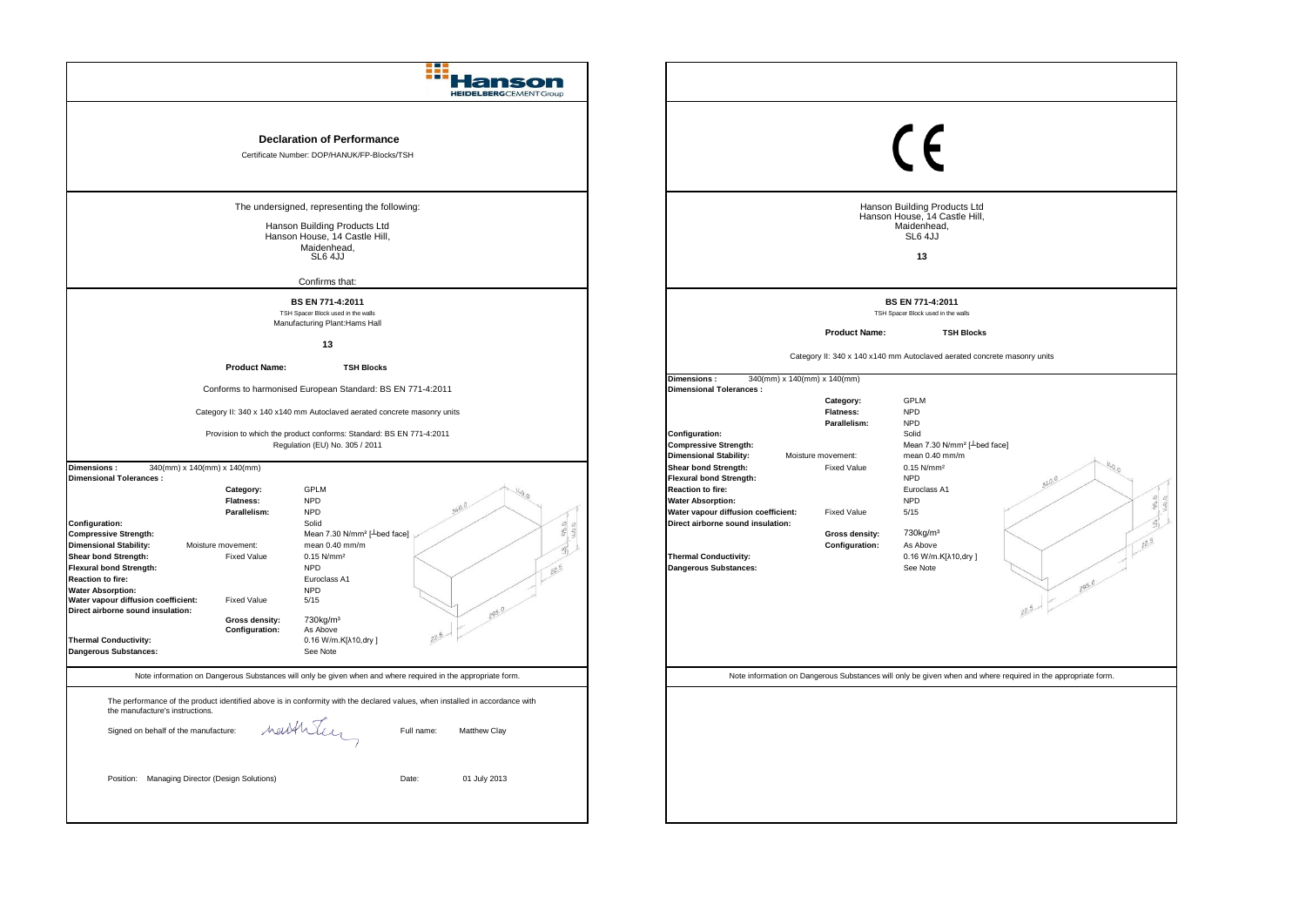| <b>HEIDELBERGCEMENTGroup</b>                                                                                                                                                                                                                                                                                                                                                                                                                                                                                                                                                                                                                                                                                                                                                                                                                                                                                                                                                                                                                                                                                                                                                                                |                                                                                                                                                                                                                                                                                                                                                                                                                                                                                                                                                                                                                                                                                                                                                                                                                                                                                                                                                                          |
|-------------------------------------------------------------------------------------------------------------------------------------------------------------------------------------------------------------------------------------------------------------------------------------------------------------------------------------------------------------------------------------------------------------------------------------------------------------------------------------------------------------------------------------------------------------------------------------------------------------------------------------------------------------------------------------------------------------------------------------------------------------------------------------------------------------------------------------------------------------------------------------------------------------------------------------------------------------------------------------------------------------------------------------------------------------------------------------------------------------------------------------------------------------------------------------------------------------|--------------------------------------------------------------------------------------------------------------------------------------------------------------------------------------------------------------------------------------------------------------------------------------------------------------------------------------------------------------------------------------------------------------------------------------------------------------------------------------------------------------------------------------------------------------------------------------------------------------------------------------------------------------------------------------------------------------------------------------------------------------------------------------------------------------------------------------------------------------------------------------------------------------------------------------------------------------------------|
| <b>Declaration of Performance</b><br>Certificate Number: DOP/HANUK/FP-Blocks/TSH                                                                                                                                                                                                                                                                                                                                                                                                                                                                                                                                                                                                                                                                                                                                                                                                                                                                                                                                                                                                                                                                                                                            | $\epsilon$                                                                                                                                                                                                                                                                                                                                                                                                                                                                                                                                                                                                                                                                                                                                                                                                                                                                                                                                                               |
| The undersigned, representing the following:<br>Hanson Building Products Ltd<br>Hanson House, 14 Castle Hill,<br>Maidenhead,<br>SL6 4JJ<br>Confirms that:                                                                                                                                                                                                                                                                                                                                                                                                                                                                                                                                                                                                                                                                                                                                                                                                                                                                                                                                                                                                                                                   | Hanson Building Products Ltd<br>Hanson House, 14 Castle Hill,<br>Maidenhead,<br>SL6 4JJ<br>13                                                                                                                                                                                                                                                                                                                                                                                                                                                                                                                                                                                                                                                                                                                                                                                                                                                                            |
| BS EN 771-4:2011<br>TSH Spacer Block used in the walls<br>Manufacturing Plant: Hams Hall                                                                                                                                                                                                                                                                                                                                                                                                                                                                                                                                                                                                                                                                                                                                                                                                                                                                                                                                                                                                                                                                                                                    | BS EN 771-4:2011<br>TSH Spacer Block used in the walls<br><b>Product Name:</b><br><b>TSH Blocks</b>                                                                                                                                                                                                                                                                                                                                                                                                                                                                                                                                                                                                                                                                                                                                                                                                                                                                      |
| 13<br><b>Product Name:</b><br><b>TSH Blocks</b><br>Conforms to harmonised European Standard: BS EN 771-4:2011<br>Category II: 340 x 140 x140 mm Autoclaved aerated concrete masonry units<br>Provision to which the product conforms: Standard: BS EN 771-4:2011<br>Regulation (EU) No. 305 / 2011<br><b>Dimensions:</b><br>340(mm) x 140(mm) x 140(mm)<br><b>Dimensional Tolerances:</b><br><b>GPLM</b><br>Category:<br><b>NPD</b><br><b>Flatness:</b><br>Parallelism:<br><b>NPD</b><br><b>Configuration:</b><br>Solid<br><b>Compressive Strength:</b><br>Mean 7.30 N/mm <sup>2</sup> [ <sup>L</sup> bed face]<br><b>Dimensional Stability:</b><br>mean 0.40 mm/m<br>Moisture movement:<br>Shear bond Strength:<br><b>Fixed Value</b><br>0.15 N/mm <sup>2</sup><br><b>Flexural bond Strength:</b><br><b>NPD</b><br><b>Reaction to fire:</b><br>Euroclass A1<br><b>Water Absorption:</b><br><b>NPD</b><br>Water vapour diffusion coefficient:<br><b>Fixed Value</b><br>5/15<br>295.0<br>Direct airborne sound insulation:<br>730kg/m <sup>3</sup><br>Gross density:<br><b>Configuration:</b><br>As Above<br><b>Thermal Conductivity:</b><br>0.16 W/m.K[λ10,dry]<br><b>Dangerous Substances:</b><br>See Note | Category II: 340 x 140 x140 mm Autoclaved aerated concrete masonry units<br>Dimensions:<br>340(mm) x 140(mm) x 140(mm)<br><b>Dimensional Tolerances:</b><br>Category:<br><b>GPLM</b><br><b>Flatness:</b><br><b>NPD</b><br><b>NPD</b><br>Parallelism:<br><b>Configuration:</b><br>Solid<br>Mean 7.30 N/mm <sup>2</sup> [ Lbed face]<br><b>Compressive Strength:</b><br>mean 0.40 mm/m<br><b>Dimensional Stability:</b><br>Moisture movement:<br><b>Shear bond Strength:</b><br><b>Fixed Value</b><br>$0.15$ N/mm <sup>2</sup><br><b>Flexural bond Strength:</b><br><b>NPD</b><br><b>Reaction to fire:</b><br>Euroclass A1<br><b>Water Absorption:</b><br><b>NPD</b><br>Water vapour diffusion coefficient:<br><b>Fixed Value</b><br>5/15<br>Direct airborne sound insulation:<br>730kg/m <sup>3</sup><br>Gross density:<br>Configuration:<br>As Above<br><b>Thermal Conductivity:</b><br>0.16 W/m.K[λ10,dry]<br><b>Dangerous Substances:</b><br>See Note<br>295.0<br>22.5 |
| Note information on Dangerous Substances will only be given when and where required in the appropriate form.<br>The performance of the product identified above is in conformity with the declared values, when installed in accordance with<br>the manufacture's instructions.<br>neithren<br>Signed on behalf of the manufacture:<br>Full name:<br>Matthew Clay<br>Position: Managing Director (Design Solutions)<br>Date:<br>01 July 2013                                                                                                                                                                                                                                                                                                                                                                                                                                                                                                                                                                                                                                                                                                                                                                | Note information on Dangerous Substances will only be given when and where required in the appropriate form.                                                                                                                                                                                                                                                                                                                                                                                                                                                                                                                                                                                                                                                                                                                                                                                                                                                             |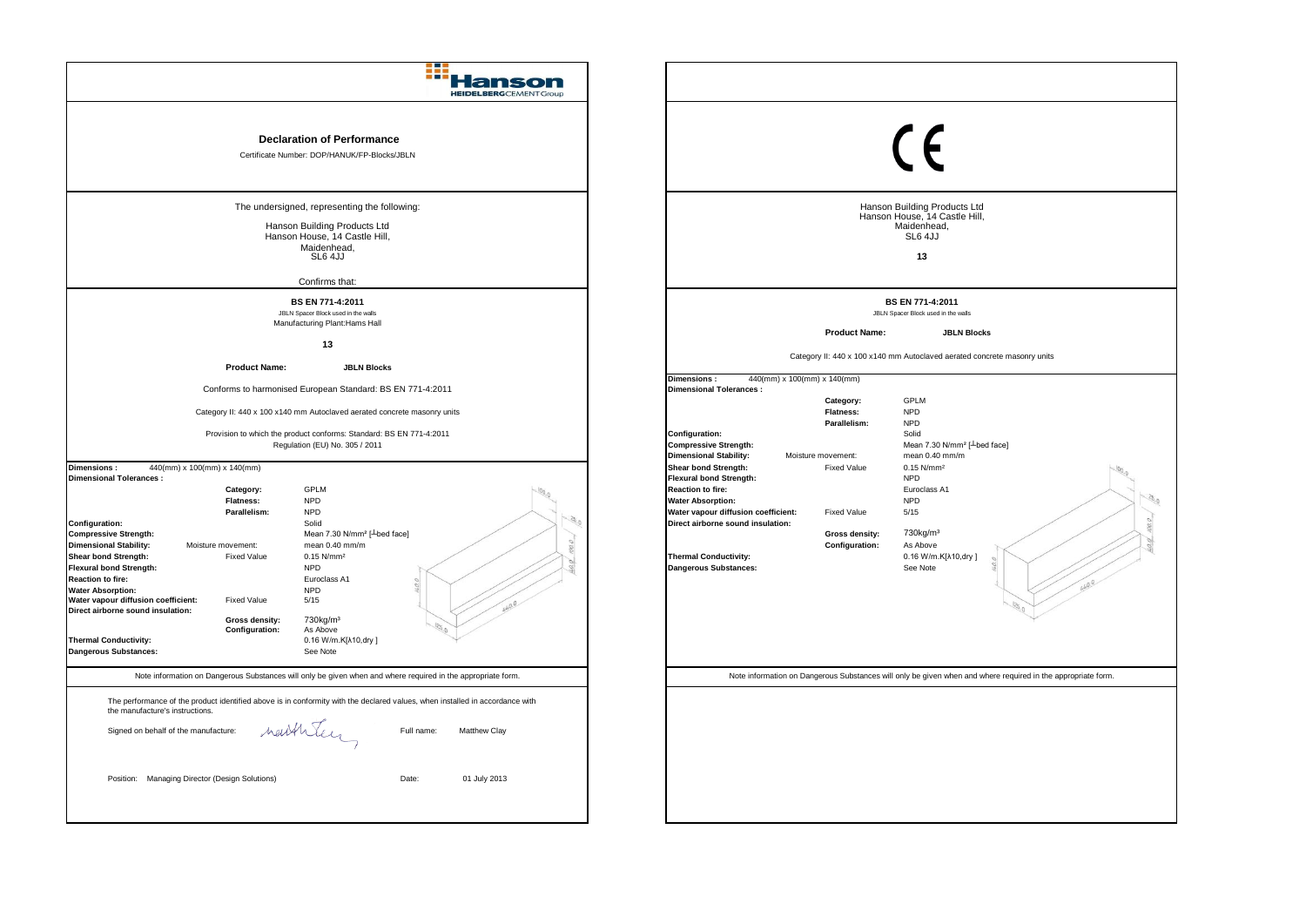| anson<br><b>HEIDELBERG</b> CEMENTGroup                                                                                                                                                                                                                                                                                                                                                                                                                                                                                                                                                                                                                                                                                                                                                                                                                                                                                                                                                                                                                                                                                                                                           |                                                                                                                                                                                                                                                                                                                                                                                                                                                                                                                                                                                                                                                                                                                                                                                                                                                                                       |
|----------------------------------------------------------------------------------------------------------------------------------------------------------------------------------------------------------------------------------------------------------------------------------------------------------------------------------------------------------------------------------------------------------------------------------------------------------------------------------------------------------------------------------------------------------------------------------------------------------------------------------------------------------------------------------------------------------------------------------------------------------------------------------------------------------------------------------------------------------------------------------------------------------------------------------------------------------------------------------------------------------------------------------------------------------------------------------------------------------------------------------------------------------------------------------|---------------------------------------------------------------------------------------------------------------------------------------------------------------------------------------------------------------------------------------------------------------------------------------------------------------------------------------------------------------------------------------------------------------------------------------------------------------------------------------------------------------------------------------------------------------------------------------------------------------------------------------------------------------------------------------------------------------------------------------------------------------------------------------------------------------------------------------------------------------------------------------|
| <b>Declaration of Performance</b><br>Certificate Number: DOP/HANUK/FP-Blocks/JBLN                                                                                                                                                                                                                                                                                                                                                                                                                                                                                                                                                                                                                                                                                                                                                                                                                                                                                                                                                                                                                                                                                                | $\epsilon$                                                                                                                                                                                                                                                                                                                                                                                                                                                                                                                                                                                                                                                                                                                                                                                                                                                                            |
| The undersigned, representing the following:<br>Hanson Building Products Ltd<br>Hanson House, 14 Castle Hill,<br>Maidenhead.<br>SL6 4JJ<br>Confirms that:                                                                                                                                                                                                                                                                                                                                                                                                                                                                                                                                                                                                                                                                                                                                                                                                                                                                                                                                                                                                                        | Hanson Building Products Ltd<br>Hanson House, 14 Castle Hill,<br>Maidenhead,<br>SL6 4JJ<br>13                                                                                                                                                                                                                                                                                                                                                                                                                                                                                                                                                                                                                                                                                                                                                                                         |
| BS EN 771-4:2011<br>JBLN Spacer Block used in the walls<br>Manufacturing Plant: Hams Hall<br>13                                                                                                                                                                                                                                                                                                                                                                                                                                                                                                                                                                                                                                                                                                                                                                                                                                                                                                                                                                                                                                                                                  | BS EN 771-4:2011<br>JBLN Spacer Block used in the walls<br><b>Product Name:</b><br><b>JBLN Blocks</b><br>Category II: 440 x 100 x140 mm Autoclaved aerated concrete masonry units                                                                                                                                                                                                                                                                                                                                                                                                                                                                                                                                                                                                                                                                                                     |
| <b>Product Name:</b><br><b>JBLN Blocks</b><br>Conforms to harmonised European Standard: BS EN 771-4:2011<br>Category II: 440 x 100 x140 mm Autoclaved aerated concrete masonry units<br>Provision to which the product conforms: Standard: BS EN 771-4:2011<br>Regulation (EU) No. 305 / 2011<br>440(mm) x 100(mm) x 140(mm)<br>Dimensions:<br><b>Dimensional Tolerances:</b><br>GPLM<br>Category:<br><b>NPD</b><br><b>Flatness:</b><br><b>NPD</b><br>Parallelism:<br>$-35.$<br>Configuration:<br>Solid<br>Mean 7.30 N/mm <sup>2</sup> [ <sup>1</sup> bed face]<br><b>Compressive Strength:</b><br><b>Dimensional Stability:</b><br>mean 0.40 mm/m<br>Moisture movement:<br>$0.15$ N/mm <sup>2</sup><br>Shear bond Strength:<br><b>Fixed Value</b><br><b>Flexural bond Strength:</b><br><b>NPD</b><br><b>Reaction to fire:</b><br>Euroclass A1<br><b>Water Absorption:</b><br><b>NPD</b><br>Water vapour diffusion coefficient:<br><b>Fixed Value</b><br>5/15<br>Direct airborne sound insulation:<br>730kg/m <sup>3</sup><br>Gross density:<br>Configuration:<br>As Above<br><b>Thermal Conductivity:</b><br>0.16 W/m.K[ $\lambda$ 10,dry]<br>Dangerous Substances:<br>See Note | <b>Dimensions:</b><br>440(mm) x 100(mm) x 140(mm)<br><b>Dimensional Tolerances:</b><br><b>GPLM</b><br>Category:<br><b>NPD</b><br><b>Flatness:</b><br>Parallelism:<br><b>NPD</b><br>Configuration:<br>Solid<br>Mean 7.30 N/mm <sup>2</sup> [ Lbed face]<br><b>Compressive Strength:</b><br><b>Dimensional Stability:</b><br>mean 0.40 mm/m<br>Moisture movement:<br><b>Shear bond Strength:</b><br>$0.15$ N/mm <sup>2</sup><br><b>Fixed Value</b><br><b>Flexural bond Strength:</b><br><b>NPD</b><br><b>Reaction to fire:</b><br>Euroclass A1<br><b>NPD</b><br><b>Water Absorption:</b><br>5/15<br>Water vapour diffusion coefficient:<br><b>Fixed Value</b><br>Direct airborne sound insulation:<br>730kg/m <sup>3</sup><br>Gross density:<br>Configuration:<br>As Above<br>0.16 W/m.K[ $\lambda$ 10,dry]<br><b>Thermal Conductivity:</b><br><b>Dangerous Substances:</b><br>See Note |
| Note information on Dangerous Substances will only be given when and where required in the appropriate form.<br>The performance of the product identified above is in conformity with the declared values, when installed in accordance with<br>the manufacture's instructions.<br>nathley<br>Full name:<br>Signed on behalf of the manufacture:<br>Matthew Clay<br>Position: Managing Director (Design Solutions)<br>Date:<br>01 July 2013                                                                                                                                                                                                                                                                                                                                                                                                                                                                                                                                                                                                                                                                                                                                      | Note information on Dangerous Substances will only be given when and where required in the appropriate form.                                                                                                                                                                                                                                                                                                                                                                                                                                                                                                                                                                                                                                                                                                                                                                          |